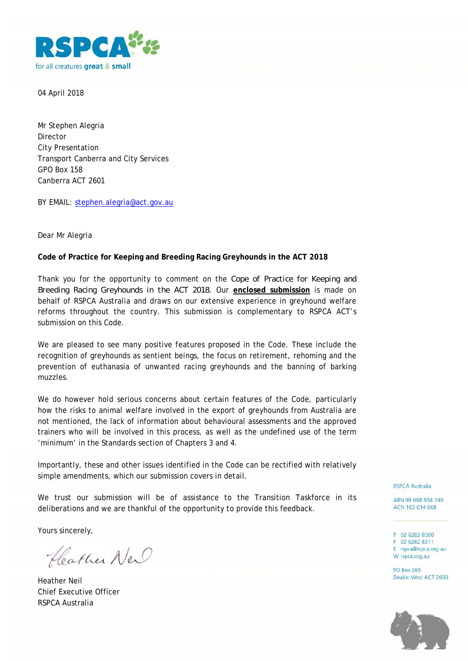

04 April 2018

Mr Stephen Alegria Director City Presentation Transport Canberra and City Services GPO Box 158 Canberra ACT 2601

BY EMAIL: stephen.alegria@act.gov.au

Dear Mr Alegria

#### **Code of Practice for Keeping and Breeding Racing Greyhounds in the ACT 2018**

Thank you for the opportunity to comment on the *Cope of Practice for Keeping and Breeding Racing Greyhounds in the ACT 2018.* Our **enclosed submission** is made on behalf of RSPCA Australia and draws on our extensive experience in greyhound welfare reforms throughout the country. This submission is complementary to RSPCA ACT's submission on this Code.

We are pleased to see many positive features proposed in the Code. These include the recognition of greyhounds as sentient beings, the focus on retirement, rehoming and the prevention of euthanasia of unwanted racing greyhounds and the banning of barking muzzles.

We do however hold serious concerns about certain features of the Code, particularly how the risks to animal welfare involved in the export of greyhounds from Australia are not mentioned, the lack of information about behavioural assessments and the approved trainers who will be involved in this process, as well as the undefined use of the term 'minimum' in the Standards section of Chapters 3 and 4.

Importantly, these and other issues identified in the Code can be rectified with relatively simple amendments, which our submission covers in detail.

We trust our submission will be of assistance to the Transition Taskforce in its deliberations and we are thankful of the opportunity to provide this feedback.

Yours sincerely,

Heather New

Heather Neil Chief Executive Officer RSPCA Australia

**RSPCA Australia** 

ABN 99 668 654 249 ACN 163 614 668

P 02 6282 8300 F 02 6282 8311 E rspca@rspca.org.au W rspca.org.au

**PO Box 265** Deakin West ACT 2600

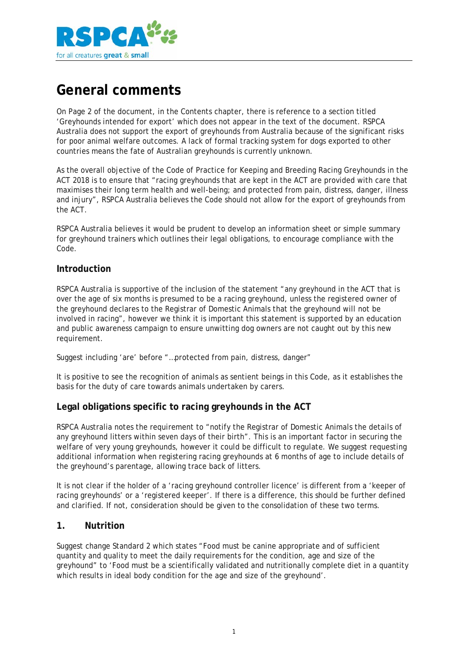

# **General comments**

On Page 2 of the document, in the Contents chapter, there is reference to a section titled 'Greyhounds intended for export' which does not appear in the text of the document. RSPCA Australia does not support the export of greyhounds from Australia because of the significant risks for poor animal welfare outcomes. A lack of formal tracking system for dogs exported to other countries means the fate of Australian greyhounds is currently unknown.

As the overall objective of the Code of Practice for Keeping and Breeding Racing Greyhounds in the ACT 2018 is to ensure that "racing greyhounds that are kept in the ACT are provided with care that maximises their long term health and well-being; and protected from pain, distress, danger, illness and injury", RSPCA Australia believes the Code should not allow for the export of greyhounds from the ACT.

RSPCA Australia believes it would be prudent to develop an information sheet or simple summary for greyhound trainers which outlines their legal obligations, to encourage compliance with the Code.

#### **Introduction**

RSPCA Australia is supportive of the inclusion of the statement "any greyhound in the ACT that is over the age of six months is presumed to be a racing greyhound, unless the registered owner of the greyhound declares to the Registrar of Domestic Animals that the greyhound will not be involved in racing", however we think it is important this statement is supported by an education and public awareness campaign to ensure unwitting dog owners are not caught out by this new requirement.

Suggest including 'are' before "…protected from pain, distress, danger"

It is positive to see the recognition of animals as sentient beings in this Code, as it establishes the basis for the duty of care towards animals undertaken by carers.

#### **Legal obligations specific to racing greyhounds in the ACT**

RSPCA Australia notes the requirement to "notify the Registrar of Domestic Animals the details of any greyhound litters within seven days of their birth". This is an important factor in securing the welfare of very young greyhounds, however it could be difficult to regulate. We suggest requesting additional information when registering racing greyhounds at 6 months of age to include details of the greyhound's parentage, allowing trace back of litters.

It is not clear if the holder of a 'racing greyhound controller licence' is different from a 'keeper of racing greyhounds' or a 'registered keeper'. If there is a difference, this should be further defined and clarified. If not, consideration should be given to the consolidation of these two terms.

#### **1. Nutrition**

Suggest change Standard 2 which states "Food must be canine appropriate and of sufficient quantity and quality to meet the daily requirements for the condition, age and size of the greyhound" to 'Food must be a scientifically validated and nutritionally complete diet in a quantity which results in ideal body condition for the age and size of the greyhound'.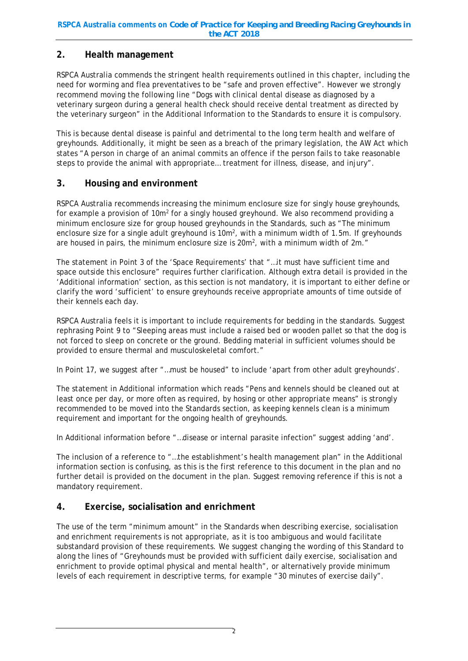## **2. Health management**

RSPCA Australia commends the stringent health requirements outlined in this chapter, including the need for worming and flea preventatives to be "safe and proven effective". However we strongly recommend moving the following line "Dogs with clinical dental disease as diagnosed by a veterinary surgeon during a general health check should receive dental treatment as directed by the veterinary surgeon" in the Additional Information to the Standards to ensure it is compulsory.

This is because dental disease is painful and detrimental to the long term health and welfare of greyhounds. Additionally, it might be seen as a breach of the primary legislation, the AW Act which states "A person in charge of an animal commits an offence if the person fails to take reasonable steps to provide the animal with appropriate… treatment for illness, disease, and injury".

## **3. Housing and environment**

RSPCA Australia recommends increasing the minimum enclosure size for singly house greyhounds, for example a provision of  $10m^2$  for a singly housed greyhound. We also recommend providing a minimum enclosure size for group housed greyhounds in the Standards, such as "The minimum enclosure size for a single adult greyhound is  $10m^2$ , with a minimum width of 1.5m. If greyhounds are housed in pairs, the minimum enclosure size is  $20m^2$ , with a minimum width of  $2m$ ."

The statement in Point 3 of the 'Space Requirements' that "…it must have sufficient time and space outside this enclosure" requires further clarification. Although extra detail is provided in the 'Additional information' section, as this section is not mandatory, it is important to either define or clarify the word 'sufficient' to ensure greyhounds receive appropriate amounts of time outside of their kennels each day.

RSPCA Australia feels it is important to include requirements for bedding in the standards. Suggest rephrasing Point 9 to "Sleeping areas must include a raised bed or wooden pallet so that the dog is not forced to sleep on concrete or the ground. Bedding material in sufficient volumes should be provided to ensure thermal and musculoskeletal comfort."

In Point 17, we suggest after "…must be housed" to include 'apart from other adult greyhounds'.

The statement in Additional information which reads "Pens and kennels should be cleaned out at least once per day, or more often as required, by hosing or other appropriate means" is strongly recommended to be moved into the Standards section, as keeping kennels clean is a minimum requirement and important for the ongoing health of greyhounds.

In Additional information before "…disease or internal parasite infection" suggest adding 'and'.

The inclusion of a reference to "…the establishment's health management plan" in the Additional information section is confusing, as this is the first reference to this document in the plan and no further detail is provided on the document in the plan. Suggest removing reference if this is not a mandatory requirement.

## **4. Exercise, socialisation and enrichment**

The use of the term "minimum amount" in the Standards when describing exercise, socialisation and enrichment requirements is not appropriate, as it is too ambiguous and would facilitate substandard provision of these requirements. We suggest changing the wording of this Standard to along the lines of "Greyhounds must be provided with sufficient daily exercise, socialisation and enrichment to provide optimal physical and mental health", or alternatively provide minimum levels of each requirement in descriptive terms, for example "30 minutes of exercise daily".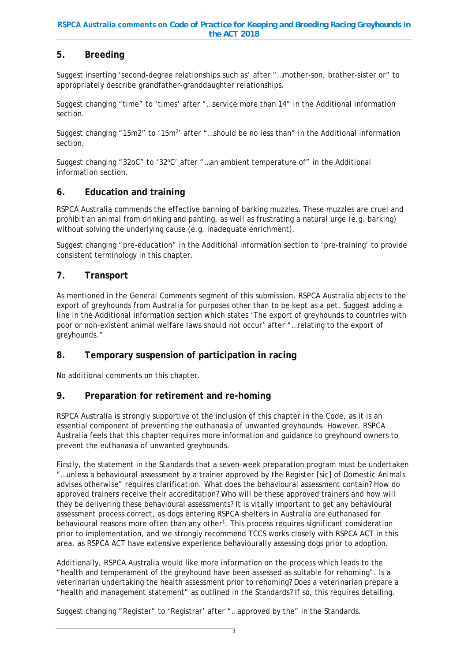## **5. Breeding**

Suggest inserting 'second-degree relationships such as' after "…mother-son, brother-sister or" to appropriately describe grandfather-granddaughter relationships.

Suggest changing "time" to 'times' after "…service more than 14" in the Additional information section.

Suggest changing "15m2" to '15m<sup>2</sup>' after "...should be no less than" in the Additional information section.

Suggest changing "32oC" to '32°C' after "...an ambient temperature of" in the Additional information section.

#### **6. Education and training**

RSPCA Australia commends the effective banning of barking muzzles. These muzzles are cruel and prohibit an animal from drinking and panting, as well as frustrating a natural urge (e.g. barking) without solving the underlying cause (e.g. inadequate enrichment).

Suggest changing "pre-education" in the Additional information section to 'pre-training' to provide consistent terminology in this chapter.

#### **7. Transport**

As mentioned in the General Comments segment of this submission, RSPCA Australia objects to the export of greyhounds from Australia for purposes other than to be kept as a pet. Suggest adding a line in the Additional information section which states 'The export of greyhounds to countries with poor or non-existent animal welfare laws should not occur' after "…relating to the export of greyhounds."

## **8. Temporary suspension of participation in racing**

No additional comments on this chapter.

## **9. Preparation for retirement and re-homing**

RSPCA Australia is strongly supportive of the inclusion of this chapter in the Code, as it is an essential component of preventing the euthanasia of unwanted greyhounds. However, RSPCA Australia feels that this chapter requires more information and guidance to greyhound owners to prevent the euthanasia of unwanted greyhounds.

Firstly, the statement in the Standards that a seven-week preparation program must be undertaken "…unless a behavioural assessment by a trainer approved by the Register [sic] of Domestic Animals advises otherwise" requires clarification. What does the behavioural assessment contain? How do approved trainers receive their accreditation? Who will be these approved trainers and how will they be delivering these behavioural assessments? It is vitally important to get any behavioural assessment process correct, as dogs entering RSPCA shelters in Australia are euthanased for behavioural reasons more often than any other<sup>1</sup>. This process requires significant consideration prior to implementation, and we strongly recommend TCCS works closely with RSPCA ACT in this area, as RSPCA ACT have extensive experience behaviourally assessing dogs prior to adoption.

Additionally, RSPCA Australia would like more information on the process which leads to the "health and temperament of the greyhound have been assessed as suitable for rehoming". Is a veterinarian undertaking the health assessment prior to rehoming? Does a veterinarian prepare a "health and management statement" as outlined in the Standards? If so, this requires detailing.

Suggest changing "Register" to 'Registrar' after "…approved by the" in the Standards.